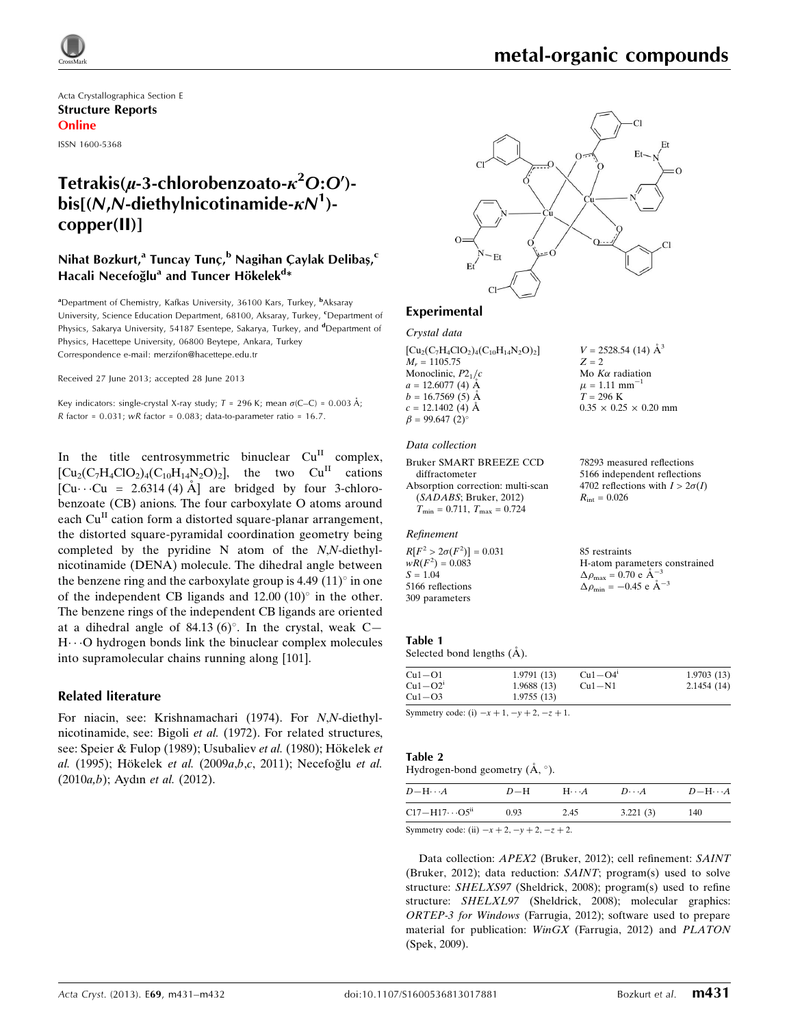

# metal-organic compounds

Acta Crystallographica Section E Structure Reports Online

ISSN 1600-5368

# Tetrakis( $\mu$ -3-chlorobenzoato- $\kappa^2$ O:O')bis[(N,N-diethylnicotinamide- $\kappa N^1$ )copper(II)]

# Nihat Bozkurt,<sup>a</sup> Tuncay Tunç,<sup>b</sup> Nagihan Çaylak Delibaş,<sup>c</sup> Hacali Necefoğlu<sup>a</sup> and Tuncer Hökelek<sup>d</sup>\*

<sup>a</sup>Department of Chemistry, Kafkas University, 36100 Kars, Turkey, <sup>b</sup>Aksaray University, Science Education Department, 68100, Aksaray, Turkey, CDepartment of Physics, Sakarya University, 54187 Esentepe, Sakarya, Turkey, and <sup>d</sup>Department of Physics, Hacettepe University, 06800 Beytepe, Ankara, Turkey Correspondence e-mail: [merzifon@hacettepe.edu.tr](https://scripts.iucr.org/cgi-bin/cr.cgi?rm=pdfbb&cnor=xu5716&bbid=BB16)

Received 27 June 2013; accepted 28 June 2013

Key indicators: single-crystal X-ray study;  $T = 296$  K; mean  $\sigma$ (C–C) = 0.003 Å; R factor =  $0.031$ ; wR factor =  $0.083$ ; data-to-parameter ratio =  $16.7$ .

In the title centrosymmetric binuclear  $Cu<sup>H</sup>$  complex,  $\begin{bmatrix} Cu_2(C_7H_4ClO_2)_4(C_{10}H_{14}N_2O)_2 \end{bmatrix}$ , the two  $Cu^{II}$  cations [ $Cu \cdot Cu = 2.6314 (4) \text{ Å}$ ] are bridged by four 3-chlorobenzoate (CB) anions. The four carboxylate O atoms around each  $Cu<sup>H</sup>$  cation form a distorted square-planar arrangement, the distorted square-pyramidal coordination geometry being completed by the pyridine N atom of the N,N-diethylnicotinamide (DENA) molecule. The dihedral angle between the benzene ring and the carboxylate group is 4.49  $(11)^\circ$  in one of the independent CB ligands and  $12.00$   $(10)^\circ$  in the other. The benzene rings of the independent CB ligands are oriented at a dihedral angle of 84.13 (6)°. In the crystal, weak  $C-$ H...O hydrogen bonds link the binuclear complex molecules into supramolecular chains running along [101].

### Related literature

For niacin, see: Krishnamachari (1974). For N,N-diethylnicotinamide, see: Bigoli et al. (1972). For related structures, see: Speier & Fulop (1989); Usubaliev et al. (1980); Hökelek et al. (1995); Hökelek et al. (2009a,b,c, 2011); Necefoğlu et al. (2010a,b); Aydın et al. (2012).



## Experimental

Crystal data  $[Cu_2(C_7H_4ClO_2)_4(C_{10}H_{14}N_2O)_2]$  $M<sub>r</sub> = 1105.75$ Monoclinic,  $P2<sub>1</sub>/c$  $a = 12.6077(4)$   $\AA$  $b = 16.7569(5)$  Å  $c = 12.1402$  (4) Å  $\beta = 99.647$  (2)<sup>o</sup>

#### Data collection

```
Bruker SMART BREEZE CCD
  diffractometer
Absorption correction: multi-scan
  (SADABS; Bruker, 2012)
  T_{\min} = 0.711, T_{\max} = 0.724
```
#### Refinement

 $R[F^2 > 2\sigma(F^2)] = 0.031$  $wR(F^2) = 0.083$  $S = 1.04$ 5166 reflections 309 parameters

78293 measured reflections 5166 independent reflections

 $V = 2528.54$  (14)  $\mathring{A}^3$ 

 $0.35 \times 0.25 \times 0.20$  mm

Mo  $K\alpha$  radiation  $\mu = 1.11$  mm<sup>-1</sup>  $T = 296$  K

 $Z = 2$ 

4702 reflections with  $I > 2\sigma(I)$  $R_{\rm int} = 0.026$ 

| 85 restraints                                                |
|--------------------------------------------------------------|
| H-atom parameters constrained                                |
| $\Delta \rho_{\text{max}} = 0.70 \text{ e } \text{\AA}^{-3}$ |
| $\Delta \rho_{\text{min}} = -0.45$ e $\AA^{-3}$              |

#### Table 1

| Selected bond lengths (A). |  |  |  |  |
|----------------------------|--|--|--|--|
|----------------------------|--|--|--|--|

 $Cu1-O1$  1.9791 (13) Cu1 - O2<sup>i</sup> 1.9688 (13)<br>Cu1 - O3 1.9755 (13) 1.9755 (13)  $Cu1 = O4<sup>i</sup>$  1.9703 (13) Cu1—N1 2.1454 (14)

Symmetry code: (i)  $-x + 1$ ,  $-y + 2$ ,  $-z + 1$ .

#### Table 2

Hydrogen-bond geometry  $(\mathring{A}, \degree)$ .

 $D - H \cdots$  $D-H$ -- $A$   $D \cdots$  $A$   $D-M \cdots A$  $C17 - H17...$ 0.93 2.45 3.221 (3) 140 Symmetry code: (ii)  $-x + 2$ ,  $-y + 2$ ,  $-z + 2$ .

Data collection: APEX2 (Bruker, 2012); cell refinement: SAINT (Bruker, 2012); data reduction: SAINT; program(s) used to solve structure: SHELXS97 (Sheldrick, 2008); program(s) used to refine structure: SHELXL97 (Sheldrick, 2008); molecular graphics: ORTEP-3 for Windows (Farrugia, 2012); software used to prepare material for publication: WinGX (Farrugia, 2012) and PLATON (Spek, 2009).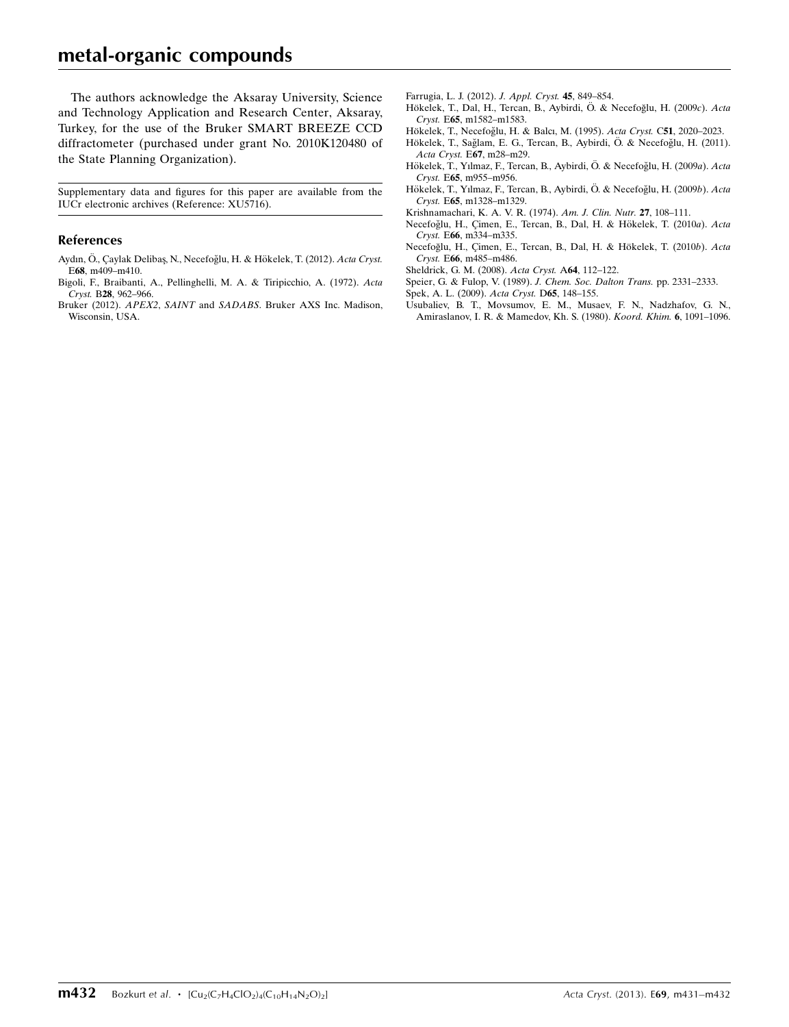# metal-organic compounds

The authors acknowledge the Aksaray University, Science and Technology Application and Research Center, Aksaray, Turkey, for the use of the Bruker SMART BREEZE CCD diffractometer (purchased under grant No. 2010K120480 of the State Planning Organization).

Supplementary data and figures for this paper are available from the IUCr electronic archives (Reference: XU5716).

### References

- Aydın, Ö., Çaylak Delibaş, N., Necefoğlu, H. & Hökelek, T. (2012). Acta Cryst. E68[, m409–m410.](https://scripts.iucr.org/cgi-bin/cr.cgi?rm=pdfbb&cnor=xu5716&bbid=BB1)
- [Bigoli, F., Braibanti, A., Pellinghelli, M. A. & Tiripicchio, A. \(1972\).](https://scripts.iucr.org/cgi-bin/cr.cgi?rm=pdfbb&cnor=xu5716&bbid=BB2) Acta Cryst. B28[, 962–966.](https://scripts.iucr.org/cgi-bin/cr.cgi?rm=pdfbb&cnor=xu5716&bbid=BB2)
- Bruker (2012). APEX2, SAINT and SADABS[. Bruker AXS Inc. Madison,](https://scripts.iucr.org/cgi-bin/cr.cgi?rm=pdfbb&cnor=xu5716&bbid=BB3) [Wisconsin, USA.](https://scripts.iucr.org/cgi-bin/cr.cgi?rm=pdfbb&cnor=xu5716&bbid=BB3)
- [Farrugia, L. J. \(2012\).](https://scripts.iucr.org/cgi-bin/cr.cgi?rm=pdfbb&cnor=xu5716&bbid=BB4) J. Appl. Cryst. 45, 849–854.
- Hökelek, T., Dal, H., Tercan, B., Aybirdi, Ö. & Necefoğlu, H. (2009c). Acta Cryst. E65[, m1582–m1583.](https://scripts.iucr.org/cgi-bin/cr.cgi?rm=pdfbb&cnor=xu5716&bbid=BB5)
- Hökelek, T., Necefoğlu, H. & Balcı, M. (1995). Acta Cryst. C51, 2020-2023.
- Hökelek, T., Sağlam, E. G., Tercan, B., Aybirdi, Ö. & Necefoğlu, H. (2011). Acta Cryst. E67[, m28–m29.](https://scripts.iucr.org/cgi-bin/cr.cgi?rm=pdfbb&cnor=xu5716&bbid=BB7)
- Hökelek, T., Yılmaz, F., Tercan, B., Aybirdi, Ö. & Necefoğlu, H. (2009a). Acta Cryst. E65[, m955–m956.](https://scripts.iucr.org/cgi-bin/cr.cgi?rm=pdfbb&cnor=xu5716&bbid=BB8)
- Hökelek, T., Yılmaz, F., Tercan, B., Aybirdi, Ö. & Necefoğlu, H. (2009b). Acta Cryst. E65[, m1328–m1329.](https://scripts.iucr.org/cgi-bin/cr.cgi?rm=pdfbb&cnor=xu5716&bbid=BB9)
- [Krishnamachari, K. A. V. R. \(1974\).](https://scripts.iucr.org/cgi-bin/cr.cgi?rm=pdfbb&cnor=xu5716&bbid=BB10) Am. J. Clin. Nutr. 27, 108–111.
- Necefoğlu, H., Çimen, E., Tercan, B., Dal, H. & Hökelek, T. (2010a). Acta Cryst. E66[, m334–m335.](https://scripts.iucr.org/cgi-bin/cr.cgi?rm=pdfbb&cnor=xu5716&bbid=BB11)
- Necefoğlu, H., Çimen, E., Tercan, B., Dal, H. & Hökelek, T. (2010b). Acta Cryst. E66[, m485–m486.](https://scripts.iucr.org/cgi-bin/cr.cgi?rm=pdfbb&cnor=xu5716&bbid=BB12)
- [Sheldrick, G. M. \(2008\).](https://scripts.iucr.org/cgi-bin/cr.cgi?rm=pdfbb&cnor=xu5716&bbid=BB13) Acta Cryst. A64, 112–122.
- [Speier, G. & Fulop, V. \(1989\).](https://scripts.iucr.org/cgi-bin/cr.cgi?rm=pdfbb&cnor=xu5716&bbid=BB14) J. Chem. Soc. Dalton Trans. pp. 2331–2333.
- [Spek, A. L. \(2009\).](https://scripts.iucr.org/cgi-bin/cr.cgi?rm=pdfbb&cnor=xu5716&bbid=BB15) Acta Cryst. D65, 148–155.
- [Usubaliev, B. T., Movsumov, E. M., Musaev, F. N., Nadzhafov, G. N.,](https://scripts.iucr.org/cgi-bin/cr.cgi?rm=pdfbb&cnor=xu5716&bbid=BB16) [Amiraslanov, I. R. & Mamedov, Kh. S. \(1980\).](https://scripts.iucr.org/cgi-bin/cr.cgi?rm=pdfbb&cnor=xu5716&bbid=BB16) Koord. Khim. 6, 1091–1096.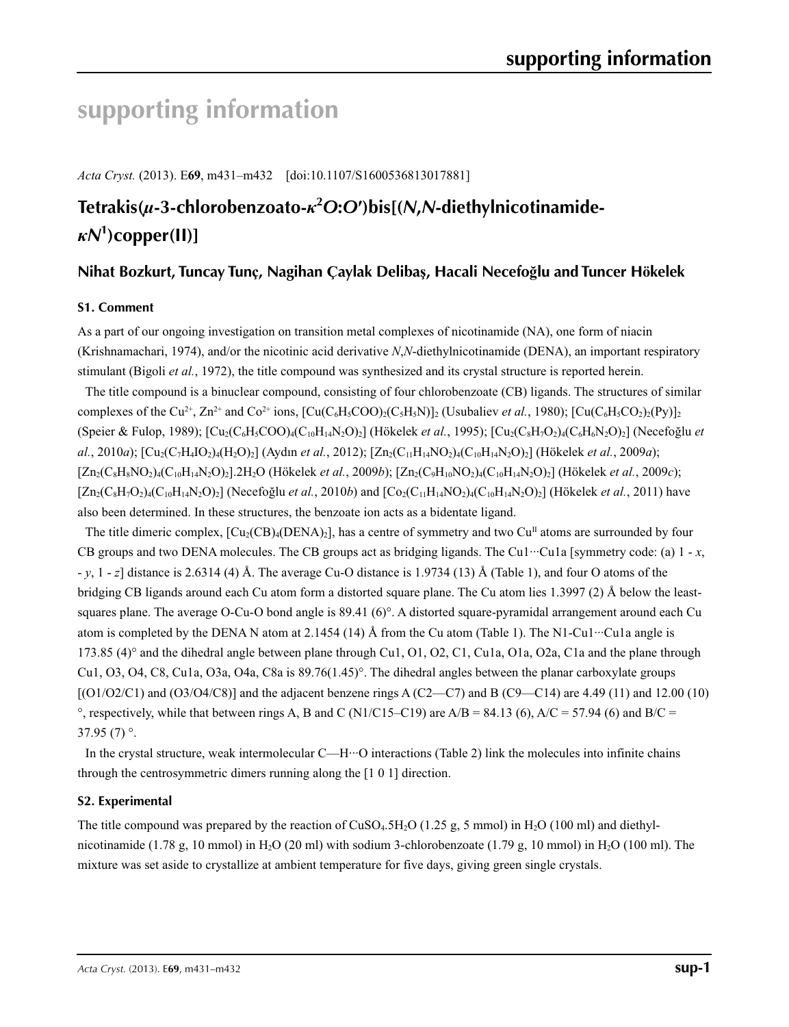# **supporting information**

*Acta Cryst.* (2013). E**69**, m431–m432 [doi:10.1107/S1600536813017881]

# **Tetrakis(***µ***-3-chlorobenzoato-***κ***<sup>2</sup>** *O***:***O***′)bis[(***N***,***N***-diethylnicotinamide***κN***<sup>1</sup> )copper(II)]**

# **Nihat Bozkurt, Tuncay Tunç, Nagihan Çaylak Delibaş, Hacali Necefoğlu and Tuncer Hökelek**

# **S1. Comment**

As a part of our ongoing investigation on transition metal complexes of nicotinamide (NA), one form of niacin (Krishnamachari, 1974), and/or the nicotinic acid derivative *N*,*N*-diethylnicotinamide (DENA), an important respiratory stimulant (Bigoli *et al.*, 1972), the title compound was synthesized and its crystal structure is reported herein.

The title compound is a binuclear compound, consisting of four chlorobenzoate (CB) ligands. The structures of similar complexes of the Cu<sup>2+</sup>, Zn<sup>2+</sup> and Co<sup>2+</sup> ions,  $[Cu(C<sub>6</sub>H<sub>5</sub>CO<sub>2</sub>)(C<sub>5</sub>H<sub>3</sub>N)]<sub>2</sub>$  (Usubaliev *et al.*, 1980);  $[Cu(C<sub>6</sub>H<sub>5</sub>CO<sub>2</sub>)(Py)]<sub>2</sub>$ (Speier & Fulop, 1989);  $[Cu_2(C_6H_5COO)_4(C_{10}H_{14}N_2O)_2]$  (Hökelek *et al.*, 1995);  $[Cu_2(C_8H_7O_2)_4(C_6H_6N_2O)_2]$  (Necefoğlu *et al.*, 2010*a*); [Cu2(C7H4IO2)4(H2O)2] (Aydın *et al.*, 2012); [Zn2(C11H14NO2)4(C10H14N2O)2] (Hökelek *et al.*, 2009*a*); [Zn2(C8H8NO2)4(C10H14N2O)2].2H2O (Hökelek *et al.*, 2009*b*); [Zn2(C9H10NO2)4(C10H14N2O)2] (Hökelek *et al.*, 2009*c*);  $[Zn_2(C_8H_7O_2)_4(C_{10}H_{14}N_2O)_2]$  (Necefoğlu *et al.*, 2010*b*) and  $[Co_2(C_{11}H_{14}N_2O)_4(C_{10}H_{14}N_2O)_2]$  (Hökelek *et al.*, 2011) have also been determined. In these structures, the benzoate ion acts as a bidentate ligand.

The title dimeric complex,  $\text{[Cu}_2(\text{CB})_4(\text{DENA})_2$ , has a centre of symmetry and two Cu<sup>II</sup> atoms are surrounded by four CB groups and two DENA molecules. The CB groups act as bridging ligands. The Cu1···Cu1a [symmetry code: (a) 1 - *x*, - *y*, 1 - *z*] distance is 2.6314 (4) Å. The average Cu-O distance is 1.9734 (13) Å (Table 1), and four O atoms of the bridging CB ligands around each Cu atom form a distorted square plane. The Cu atom lies 1.3997 (2) Å below the leastsquares plane. The average O-Cu-O bond angle is 89.41 (6)°. A distorted square-pyramidal arrangement around each Cu atom is completed by the DENA N atom at 2.1454 (14) Å from the Cu atom (Table 1). The N1-Cu1 $\cdot\cdot\cdot$ Cu1a angle is 173.85 (4)° and the dihedral angle between plane through Cu1, O1, O2, C1, Cu1a, O1a, O2a, C1a and the plane through Cu1, O3, O4, C8, Cu1a, O3a, O4a, C8a is 89.76(1.45)°. The dihedral angles between the planar carboxylate groups  $[(O1/O2/C1)$  and  $(O3/O4/C8)]$  and the adjacent benzene rings A  $(C2-C7)$  and B  $(C9-C14)$  are 4.49 (11) and 12.00 (10)  $\degree$ , respectively, while that between rings A, B and C (N1/C15–C19) are A/B = 84.13 (6), A/C = 57.94 (6) and B/C =  $37.95(7)$ °.

In the crystal structure, weak intermolecular  $C$ —H $\cdot\cdot\cdot$ O interactions (Table 2) link the molecules into infinite chains through the centrosymmetric dimers running along the [1 0 1] direction.

# **S2. Experimental**

The title compound was prepared by the reaction of  $CuSO<sub>4</sub>$ .5H<sub>2</sub>O (1.25 g, 5 mmol) in H<sub>2</sub>O (100 ml) and diethylnicotinamide (1.78 g, 10 mmol) in H<sub>2</sub>O (20 ml) with sodium 3-chlorobenzoate (1.79 g, 10 mmol) in H<sub>2</sub>O (100 ml). The mixture was set aside to crystallize at ambient temperature for five days, giving green single crystals.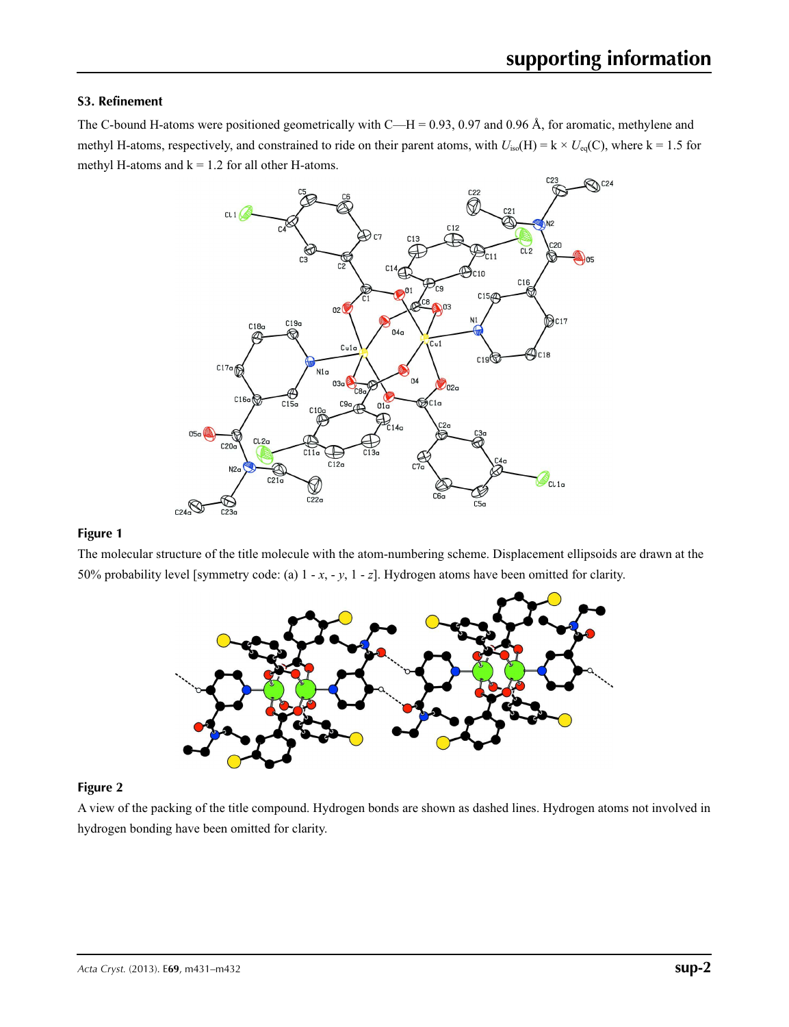## **S3. Refinement**

The C-bound H-atoms were positioned geometrically with C—H = 0.93, 0.97 and 0.96 Å, for aromatic, methylene and methyl H-atoms, respectively, and constrained to ride on their parent atoms, with  $U_{iso}(H) = k \times U_{eq}(C)$ , where k = 1.5 for methyl H-atoms and  $k = 1.2$  for all other H-atoms.



# **Figure 1**

The molecular structure of the title molecule with the atom-numbering scheme. Displacement ellipsoids are drawn at the 50% probability level [symmetry code: (a) 1 - *x*, - *y*, 1 - *z*]. Hydrogen atoms have been omitted for clarity.



### **Figure 2**

A view of the packing of the title compound. Hydrogen bonds are shown as dashed lines. Hydrogen atoms not involved in hydrogen bonding have been omitted for clarity.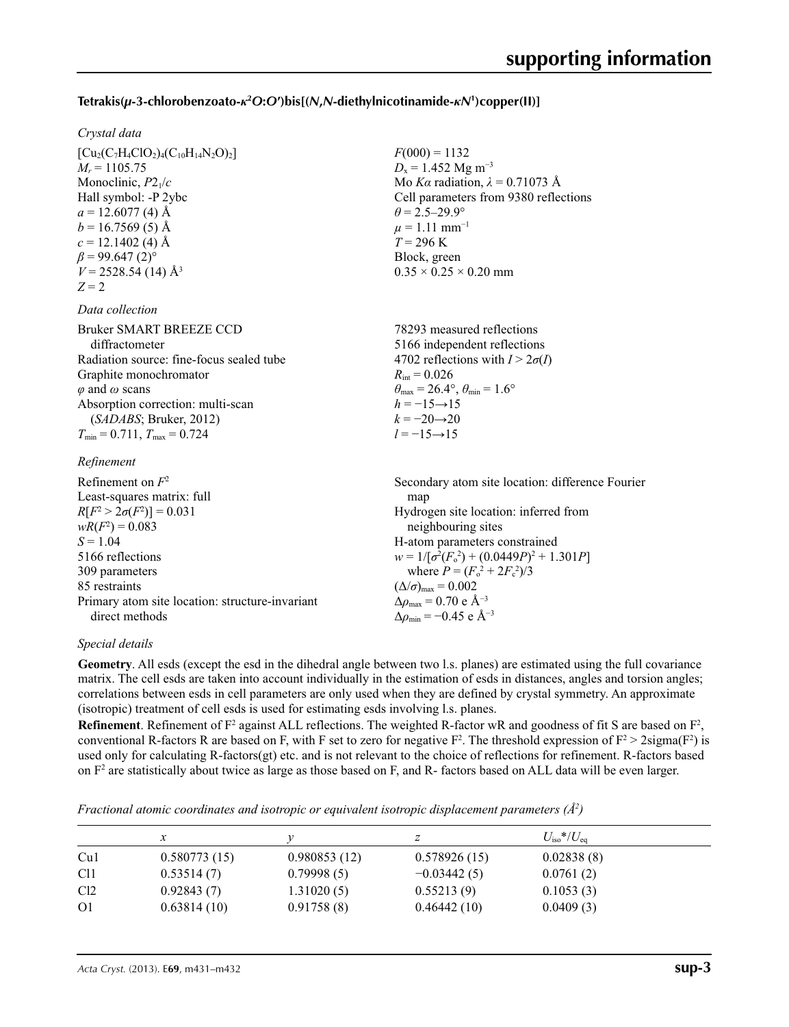# **Tetrakis(***µ***-3-chlorobenzoato-***κ***<sup>2</sup>** *O***:***O***′)bis[(***N***,***N***-diethylnicotinamide-***κN***<sup>1</sup> )copper(II)]**

 $F(000) = 1132$  $D_x = 1.452$  Mg m<sup>-3</sup>

 $\theta = 2.5 - 29.9^{\circ}$  $\mu$  = 1.11 mm<sup>-1</sup>  $T = 296$  K Block, green

 $0.35 \times 0.25 \times 0.20$  mm

Mo *Kα* radiation, *λ* = 0.71073 Å Cell parameters from 9380 reflections

### *Crystal data*

 $[Cu_2(C_7H_4ClO_2)_4(C_{10}H_{14}N_2O)_2]$  $M_r = 1105.75$ Monoclinic, *P*21/*c* Hall symbol: -P 2ybc  $a = 12.6077(4)$  Å  $b = 16.7569(5)$  Å  $c = 12.1402$  (4) Å  $\beta$  = 99.647 (2)<sup>°</sup>  $V = 2528.54(14)$  Å<sup>3</sup>  $Z = 2$ 

#### *Data collection*

| <b>Bruker SMART BREEZE CCD</b>              | 78293 measured reflections                                              |
|---------------------------------------------|-------------------------------------------------------------------------|
| diffractometer                              | 5166 independent reflections                                            |
| Radiation source: fine-focus sealed tube    | 4702 reflections with $I > 2\sigma(I)$                                  |
| Graphite monochromator                      | $R_{\text{int}} = 0.026$                                                |
| $\varphi$ and $\omega$ scans                | $\theta_{\text{max}} = 26.4^{\circ}, \theta_{\text{min}} = 1.6^{\circ}$ |
| Absorption correction: multi-scan           | $h = -15 \rightarrow 15$                                                |
| (SADABS; Bruker, 2012)                      | $k = -20 \rightarrow 20$                                                |
| $T_{\min} = 0.711$ , $T_{\max} = 0.724$     | $l = -15 \rightarrow 15$                                                |
| $D_{\alpha}$ $\mathcal{L}_{\alpha}$ and and |                                                                         |

### *Refinement*

| Refinement on $F^2$                             | Secondary atom site location: difference Fourier |
|-------------------------------------------------|--------------------------------------------------|
| Least-squares matrix: full                      | map                                              |
| $R[F^2 > 2\sigma(F^2)] = 0.031$                 | Hydrogen site location: inferred from            |
| $wR(F^2) = 0.083$                               | neighbouring sites                               |
| $S = 1.04$                                      | H-atom parameters constrained                    |
| 5166 reflections                                | $w = 1/[\sigma^2(F_0^2) + (0.0449P)^2 + 1.301P]$ |
| 309 parameters                                  | where $P = (F_o^2 + 2F_s^2)/3$                   |
| 85 restraints                                   | $(\Delta/\sigma)_{\text{max}} = 0.002$           |
| Primary atom site location: structure-invariant | $\Delta\rho_{\rm max}$ = 0.70 e Å <sup>-3</sup>  |
| direct methods                                  | $\Delta\rho_{\rm min} = -0.45$ e Å <sup>-3</sup> |

### *Special details*

**Geometry**. All esds (except the esd in the dihedral angle between two l.s. planes) are estimated using the full covariance matrix. The cell esds are taken into account individually in the estimation of esds in distances, angles and torsion angles; correlations between esds in cell parameters are only used when they are defined by crystal symmetry. An approximate (isotropic) treatment of cell esds is used for estimating esds involving l.s. planes.

**Refinement**. Refinement of  $F^2$  against ALL reflections. The weighted R-factor wR and goodness of fit S are based on  $F^2$ , conventional R-factors R are based on F, with F set to zero for negative  $F^2$ . The threshold expression of  $F^2 > 2 \text{sigma}(F^2)$  is used only for calculating R-factors(gt) etc. and is not relevant to the choice of reflections for refinement. R-factors based on  $F<sup>2</sup>$  are statistically about twice as large as those based on F, and R- factors based on ALL data will be even larger.

*Fractional atomic coordinates and isotropic or equivalent isotropic displacement parameters (Å<sup>2</sup>)* 

|                 | x            |              |               | $U_{\rm iso}*/U_{\rm eq}$ |
|-----------------|--------------|--------------|---------------|---------------------------|
| Cu1             | 0.580773(15) | 0.980853(12) | 0.578926(15)  | 0.02838(8)                |
| C <sub>11</sub> | 0.53514(7)   | 0.79998(5)   | $-0.03442(5)$ | 0.0761(2)                 |
| Cl <sub>2</sub> | 0.92843(7)   | 1.31020(5)   | 0.55213(9)    | 0.1053(3)                 |
| O <sub>1</sub>  | 0.63814(10)  | 0.91758(8)   | 0.46442(10)   | 0.0409(3)                 |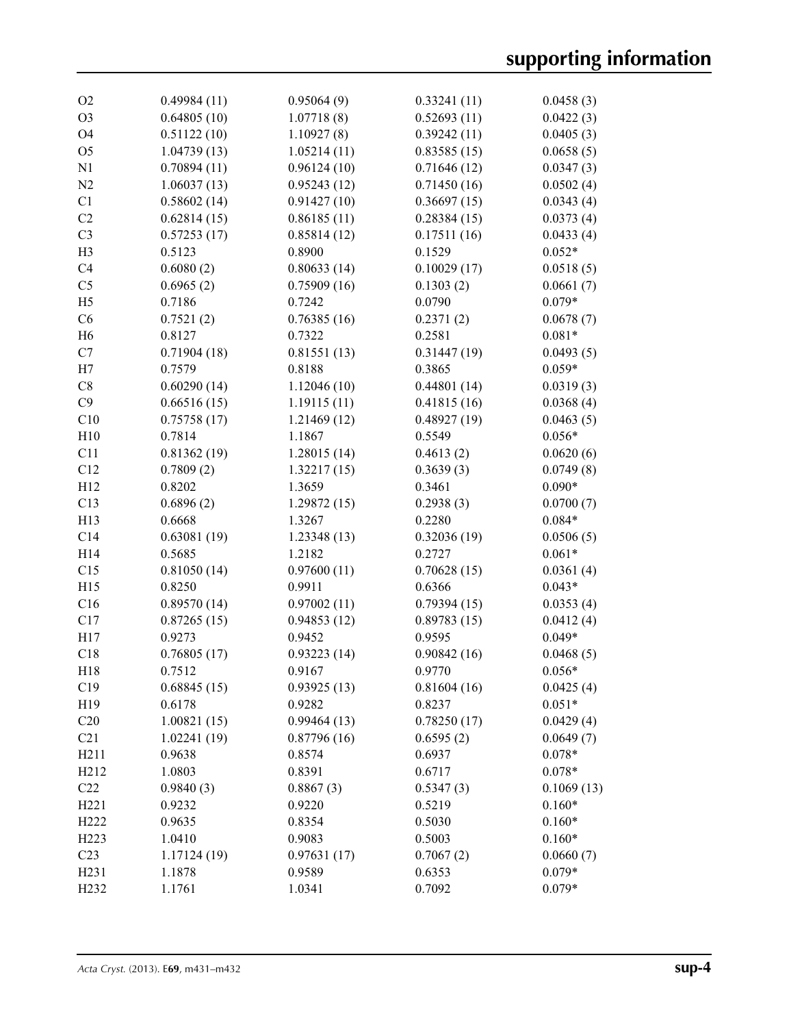| O <sub>2</sub>    | 0.49984(11)  | 0.95064(9)  | 0.33241(11) | 0.0458(3)  |
|-------------------|--------------|-------------|-------------|------------|
| O <sub>3</sub>    | 0.64805(10)  | 1.07718(8)  | 0.52693(11) | 0.0422(3)  |
| O <sub>4</sub>    | 0.51122(10)  | 1.10927(8)  | 0.39242(11) | 0.0405(3)  |
| O <sub>5</sub>    | 1.04739(13)  | 1.05214(11) | 0.83585(15) | 0.0658(5)  |
| N1                | 0.70894(11)  | 0.96124(10) | 0.71646(12) | 0.0347(3)  |
| N2                | 1.06037(13)  | 0.95243(12) | 0.71450(16) | 0.0502(4)  |
| C1                | 0.58602(14)  | 0.91427(10) | 0.36697(15) | 0.0343(4)  |
| C2                | 0.62814(15)  | 0.86185(11) | 0.28384(15) | 0.0373(4)  |
| C <sub>3</sub>    | 0.57253(17)  | 0.85814(12) | 0.17511(16) | 0.0433(4)  |
| H <sub>3</sub>    | 0.5123       | 0.8900      | 0.1529      | $0.052*$   |
| C <sub>4</sub>    | 0.6080(2)    | 0.80633(14) | 0.10029(17) | 0.0518(5)  |
| C <sub>5</sub>    | 0.6965(2)    | 0.75909(16) | 0.1303(2)   | 0.0661(7)  |
| H <sub>5</sub>    | 0.7186       | 0.7242      | 0.0790      | $0.079*$   |
| C6                | 0.7521(2)    | 0.76385(16) | 0.2371(2)   | 0.0678(7)  |
| H <sub>6</sub>    | 0.8127       | 0.7322      | 0.2581      | $0.081*$   |
| C7                | 0.71904(18)  | 0.81551(13) | 0.31447(19) | 0.0493(5)  |
| H7                | 0.7579       | 0.8188      | 0.3865      | $0.059*$   |
| C8                | 0.60290(14)  | 1.12046(10) | 0.44801(14) | 0.0319(3)  |
| C9                | 0.66516(15)  | 1.19115(11) | 0.41815(16) | 0.0368(4)  |
| C10               | 0.75758(17)  | 1.21469(12) | 0.48927(19) | 0.0463(5)  |
| H10               | 0.7814       | 1.1867      | 0.5549      | $0.056*$   |
| C11               | 0.81362(19)  | 1.28015(14) | 0.4613(2)   | 0.0620(6)  |
| C12               | 0.7809(2)    | 1.32217(15) | 0.3639(3)   | 0.0749(8)  |
| H12               | 0.8202       | 1.3659      | 0.3461      | $0.090*$   |
| C13               | 0.6896(2)    | 1.29872(15) | 0.2938(3)   | 0.0700(7)  |
| H13               | 0.6668       | 1.3267      | 0.2280      | $0.084*$   |
| C14               | 0.63081(19)  | 1.23348(13) | 0.32036(19) | 0.0506(5)  |
| H14               | 0.5685       | 1.2182      | 0.2727      | $0.061*$   |
| C15               | 0.81050(14)  | 0.97600(11) | 0.70628(15) | 0.0361(4)  |
| H15               | 0.8250       | 0.9911      | 0.6366      | $0.043*$   |
| C16               | 0.89570(14)  | 0.97002(11) | 0.79394(15) | 0.0353(4)  |
| C17               | 0.87265(15)  | 0.94853(12) | 0.89783(15) | 0.0412(4)  |
| H17               | 0.9273       | 0.9452      | 0.9595      | $0.049*$   |
| C18               | 0.76805(17)  | 0.93223(14) | 0.90842(16) | 0.0468(5)  |
| H18               | 0.7512       | 0.9167      | 0.9770      | $0.056*$   |
| C19               | 0.68845(15)  | 0.93925(13) | 0.81604(16) | 0.0425(4)  |
| H19               | 0.6178       | 0.9282      | 0.8237      | $0.051*$   |
| C20               | 1.00821(15)  | 0.99464(13) | 0.78250(17) | 0.0429(4)  |
| C21               | 1.02241(19)  | 0.87796(16) | 0.6595(2)   | 0.0649(7)  |
| H <sub>211</sub>  | 0.9638       | 0.8574      | 0.6937      | $0.078*$   |
| H <sub>2</sub> 12 | 1.0803       | 0.8391      | 0.6717      | $0.078*$   |
| C22               | 0.9840(3)    | 0.8867(3)   | 0.5347(3)   | 0.1069(13) |
| H221              | 0.9232       | 0.9220      | 0.5219      | $0.160*$   |
| H222              | 0.9635       | 0.8354      | 0.5030      | $0.160*$   |
| H <sub>223</sub>  | 1.0410       | 0.9083      | 0.5003      | $0.160*$   |
| C <sub>23</sub>   | 1.17124 (19) | 0.97631(17) | 0.7067(2)   | 0.0660(7)  |
|                   |              |             |             | $0.079*$   |
| H <sub>231</sub>  | 1.1878       | 0.9589      | 0.6353      |            |
| H <sub>2</sub> 32 | 1.1761       | 1.0341      | 0.7092      | $0.079*$   |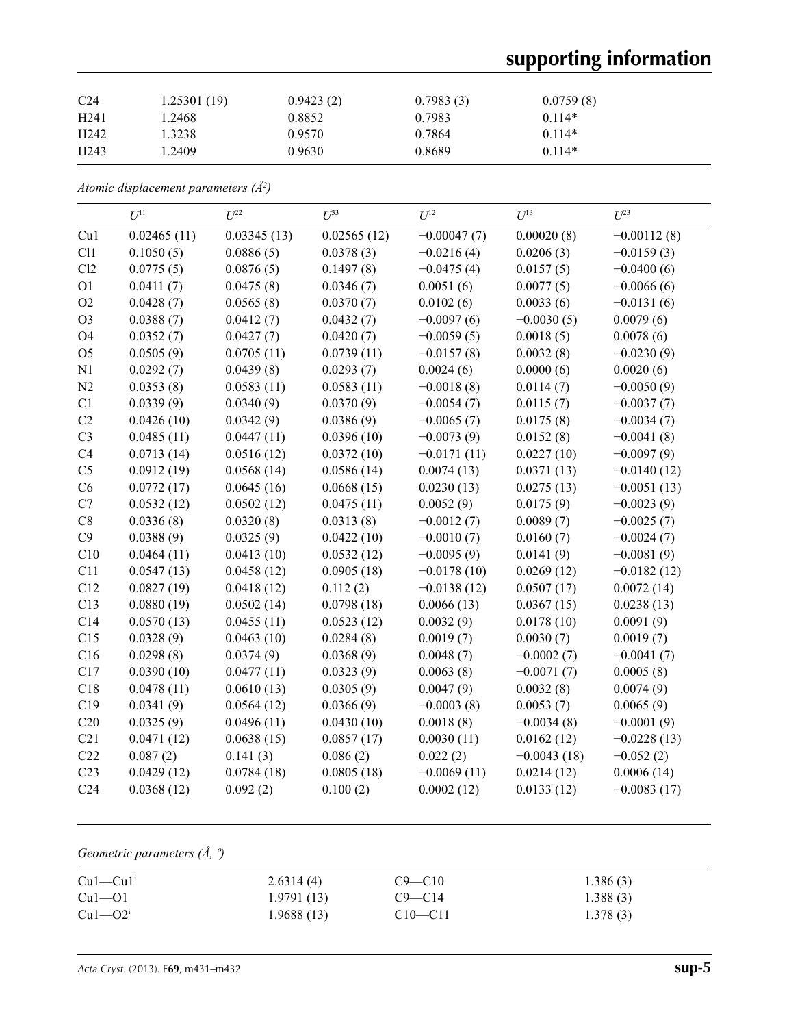# **supporting information**

| C <sub>24</sub>  | 1.25301(19) | 0.9423(2) | 0.7983(3) | 0.0759(8) |
|------------------|-------------|-----------|-----------|-----------|
| H <sub>241</sub> | .2468       | 0.8852    | 0.7983    | $0.114*$  |
| H <sub>242</sub> | .3238       | 0.9570    | 0.7864    | $0.114*$  |
| H <sub>243</sub> | .2409       | 0.9630    | 0.8689    | $0.114*$  |

*Atomic displacement parameters (Å2 )*

|                 | $U^{11}$    | $U^{22}$    | $U^{33}$    | $U^{12}$      | $U^{13}$      | $U^{23}$      |
|-----------------|-------------|-------------|-------------|---------------|---------------|---------------|
| Cu1             | 0.02465(11) | 0.03345(13) | 0.02565(12) | $-0.00047(7)$ | 0.00020(8)    | $-0.00112(8)$ |
| C11             | 0.1050(5)   | 0.0886(5)   | 0.0378(3)   | $-0.0216(4)$  | 0.0206(3)     | $-0.0159(3)$  |
| Cl2             | 0.0775(5)   | 0.0876(5)   | 0.1497(8)   | $-0.0475(4)$  | 0.0157(5)     | $-0.0400(6)$  |
| O <sub>1</sub>  | 0.0411(7)   | 0.0475(8)   | 0.0346(7)   | 0.0051(6)     | 0.0077(5)     | $-0.0066(6)$  |
| O2              | 0.0428(7)   | 0.0565(8)   | 0.0370(7)   | 0.0102(6)     | 0.0033(6)     | $-0.0131(6)$  |
| O <sub>3</sub>  | 0.0388(7)   | 0.0412(7)   | 0.0432(7)   | $-0.0097(6)$  | $-0.0030(5)$  | 0.0079(6)     |
| <b>O4</b>       | 0.0352(7)   | 0.0427(7)   | 0.0420(7)   | $-0.0059(5)$  | 0.0018(5)     | 0.0078(6)     |
| O <sub>5</sub>  | 0.0505(9)   | 0.0705(11)  | 0.0739(11)  | $-0.0157(8)$  | 0.0032(8)     | $-0.0230(9)$  |
| N1              | 0.0292(7)   | 0.0439(8)   | 0.0293(7)   | 0.0024(6)     | 0.0000(6)     | 0.0020(6)     |
| N2              | 0.0353(8)   | 0.0583(11)  | 0.0583(11)  | $-0.0018(8)$  | 0.0114(7)     | $-0.0050(9)$  |
| C1              | 0.0339(9)   | 0.0340(9)   | 0.0370(9)   | $-0.0054(7)$  | 0.0115(7)     | $-0.0037(7)$  |
| C2              | 0.0426(10)  | 0.0342(9)   | 0.0386(9)   | $-0.0065(7)$  | 0.0175(8)     | $-0.0034(7)$  |
| C <sub>3</sub>  | 0.0485(11)  | 0.0447(11)  | 0.0396(10)  | $-0.0073(9)$  | 0.0152(8)     | $-0.0041(8)$  |
| C <sub>4</sub>  | 0.0713(14)  | 0.0516(12)  | 0.0372(10)  | $-0.0171(11)$ | 0.0227(10)    | $-0.0097(9)$  |
| C <sub>5</sub>  | 0.0912(19)  | 0.0568(14)  | 0.0586(14)  | 0.0074(13)    | 0.0371(13)    | $-0.0140(12)$ |
| C6              | 0.0772(17)  | 0.0645(16)  | 0.0668(15)  | 0.0230(13)    | 0.0275(13)    | $-0.0051(13)$ |
| C7              | 0.0532(12)  | 0.0502(12)  | 0.0475(11)  | 0.0052(9)     | 0.0175(9)     | $-0.0023(9)$  |
| C8              | 0.0336(8)   | 0.0320(8)   | 0.0313(8)   | $-0.0012(7)$  | 0.0089(7)     | $-0.0025(7)$  |
| C9              | 0.0388(9)   | 0.0325(9)   | 0.0422(10)  | $-0.0010(7)$  | 0.0160(7)     | $-0.0024(7)$  |
| C10             | 0.0464(11)  | 0.0413(10)  | 0.0532(12)  | $-0.0095(9)$  | 0.0141(9)     | $-0.0081(9)$  |
| C11             | 0.0547(13)  | 0.0458(12)  | 0.0905(18)  | $-0.0178(10)$ | 0.0269(12)    | $-0.0182(12)$ |
| C12             | 0.0827(19)  | 0.0418(12)  | 0.112(2)    | $-0.0138(12)$ | 0.0507(17)    | 0.0072(14)    |
| C13             | 0.0880(19)  | 0.0502(14)  | 0.0798(18)  | 0.0066(13)    | 0.0367(15)    | 0.0238(13)    |
| C14             | 0.0570(13)  | 0.0455(11)  | 0.0523(12)  | 0.0032(9)     | 0.0178(10)    | 0.0091(9)     |
| C15             | 0.0328(9)   | 0.0463(10)  | 0.0284(8)   | 0.0019(7)     | 0.0030(7)     | 0.0019(7)     |
| C16             | 0.0298(8)   | 0.0374(9)   | 0.0368(9)   | 0.0048(7)     | $-0.0002(7)$  | $-0.0041(7)$  |
| C17             | 0.0390(10)  | 0.0477(11)  | 0.0323(9)   | 0.0063(8)     | $-0.0071(7)$  | 0.0005(8)     |
| C18             | 0.0478(11)  | 0.0610(13)  | 0.0305(9)   | 0.0047(9)     | 0.0032(8)     | 0.0074(9)     |
| C19             | 0.0341(9)   | 0.0564(12)  | 0.0366(9)   | $-0.0003(8)$  | 0.0053(7)     | 0.0065(9)     |
| C20             | 0.0325(9)   | 0.0496(11)  | 0.0430(10)  | 0.0018(8)     | $-0.0034(8)$  | $-0.0001(9)$  |
| C21             | 0.0471(12)  | 0.0638(15)  | 0.0857(17)  | 0.0030(11)    | 0.0162(12)    | $-0.0228(13)$ |
| C22             | 0.087(2)    | 0.141(3)    | 0.086(2)    | 0.022(2)      | $-0.0043(18)$ | $-0.052(2)$   |
| C <sub>23</sub> | 0.0429(12)  | 0.0784(18)  | 0.0805(18)  | $-0.0069(11)$ | 0.0214(12)    | 0.0006(14)    |
| C <sub>24</sub> | 0.0368(12)  | 0.092(2)    | 0.100(2)    | 0.0002(12)    | 0.0133(12)    | $-0.0083(17)$ |

*Geometric parameters (Å, º)*

| $Cu1-Cu1$ <sup>i</sup> | 2.6314(4)  | $C9 - C10$  | 1.386(3) |
|------------------------|------------|-------------|----------|
| $Cu1-O1$               | 1.9791(13) | $C9 - C14$  | 1.388(3) |
| $Cu1 - O2i$            | 1.9688(13) | $C10 - C11$ | 1.378(3) |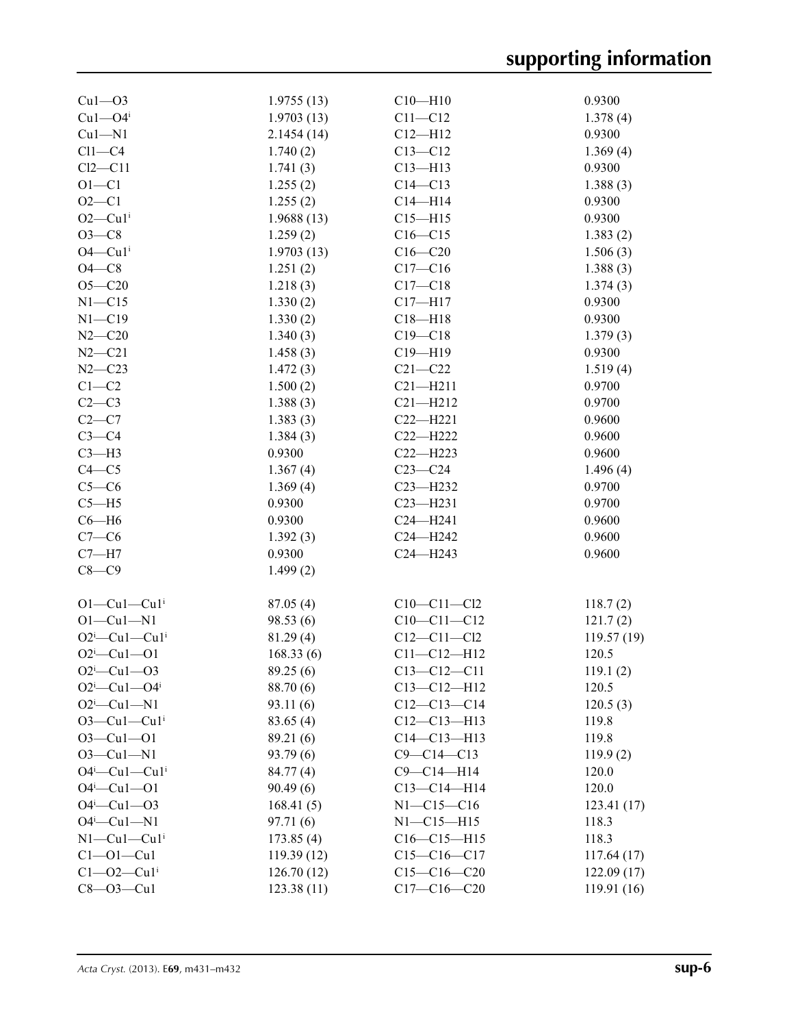| $Cu1-03$                          | 1.9755(13) | $C10 - H10$       | 0.9300     |
|-----------------------------------|------------|-------------------|------------|
| $Cu1 - O4$                        | 1.9703(13) | $C11 - C12$       | 1.378(4)   |
| $Cu1 - N1$                        | 2.1454(14) | $C12 - H12$       | 0.9300     |
| $Cl1-C4$                          | 1.740(2)   | $C13 - C12$       | 1.369(4)   |
| $Cl2-C11$                         | 1.741(3)   | $C13 - H13$       | 0.9300     |
| $O1 - C1$                         | 1.255(2)   | $C14 - C13$       | 1.388(3)   |
| $O2 - C1$                         | 1.255(2)   | $C14 - H14$       | 0.9300     |
| $O2$ —Cu1 <sup>i</sup>            | 1.9688(13) | $C15 - H15$       | 0.9300     |
| $O3 - C8$                         | 1.259(2)   | $C16 - C15$       | 1.383(2)   |
| $O4$ — $Cu1i$                     | 1.9703(13) | $C16 - C20$       | 1.506(3)   |
| $O4 - C8$                         | 1.251(2)   | $C17 - C16$       | 1.388(3)   |
| $O5 - C20$                        | 1.218(3)   | $C17 - C18$       | 1.374(3)   |
| $N1 - C15$                        | 1.330(2)   | $C17 - H17$       | 0.9300     |
| $N1 - C19$                        | 1.330(2)   | $C18 - H18$       | 0.9300     |
| $N2 - C20$                        | 1.340(3)   | $C19 - C18$       | 1.379(3)   |
| $N2 - C21$                        | 1.458(3)   | $C19 - H19$       | 0.9300     |
| $N2 - C23$                        | 1.472(3)   | $C21 - C22$       | 1.519(4)   |
| $C1-C2$                           | 1.500(2)   | $C21 - H211$      | 0.9700     |
| $C2-C3$                           | 1.388(3)   | $C21 - H212$      | 0.9700     |
| $C2-C7$                           | 1.383(3)   | $C22 - H221$      | 0.9600     |
| $C3-C4$                           | 1.384(3)   | $C22 - H222$      | 0.9600     |
| $C3-H3$                           | 0.9300     | $C22 - H223$      | 0.9600     |
| $C4 - C5$                         | 1.367(4)   | $C23 - C24$       | 1.496(4)   |
| $C5-C6$                           | 1.369(4)   | $C23 - H232$      | 0.9700     |
| $C5 - H5$                         | 0.9300     | $C23 - H231$      | 0.9700     |
| $C6 - H6$                         | 0.9300     | $C24 - H241$      | 0.9600     |
| $C7-C6$                           | 1.392(3)   | C24-H242          | 0.9600     |
| $C7 - H7$                         | 0.9300     | $C24 - H243$      | 0.9600     |
| $C8-C9$                           | 1.499(2)   |                   |            |
|                                   |            |                   |            |
| $O1-Cu1-Cu1$ <sup>i</sup>         | 87.05(4)   | $C10-C11-C12$     | 118.7(2)   |
| $O1-Cu1-N1$                       | 98.53 (6)  | $C10-C11-C12$     | 121.7(2)   |
| $O2^i$ -Cul-Cul <sup>i</sup>      | 81.29(4)   | $C12 - C11 - C12$ | 119.57(19) |
| $O2^i$ -Cul--O1                   | 168.33(6)  | $C11 - C12 - H12$ | 120.5      |
| $O2^i$ -Cul- $O3$                 | 89.25 (6)  | $C13 - C12 - C11$ | 119.1(2)   |
| $O2^i$ —Cu $1$ —O4 <sup>i</sup>   | 88.70 (6)  | $C13 - C12 - H12$ | 120.5      |
| $O2^i$ -Cul-N1                    | 93.11(6)   | $C12-C13-C14$     | 120.5(3)   |
| $O3$ —Cu $1$ —Cu $1$ <sup>i</sup> | 83.65 (4)  | $C12 - C13 - H13$ | 119.8      |
| $O3 - Cu1 - O1$                   | 89.21 (6)  | $C14 - C13 - H13$ | 119.8      |
| $O3 - Cu1 - N1$                   | 93.79(6)   | $C9 - C14 - C13$  | 119.9(2)   |
| $O4^i$ —Cu $1$ —Cu $1^i$          | 84.77 (4)  | $C9 - C14 - H14$  | 120.0      |
| $O4^i$ —Cu1—O1                    | 90.49(6)   | $C13 - C14 - H14$ | 120.0      |
| $O4^i$ —Cu1—O3                    | 168.41(5)  | $N1 - C15 - C16$  | 123.41(17) |
| $O4^i$ —Cu1—N1                    | 97.71(6)   | $N1 - C15 - H15$  | 118.3      |
| $N1-Cu1-Cu1$ <sup>i</sup>         | 173.85(4)  | $C16-C15-H15$     | 118.3      |
| $Cl$ -Ol-Cul                      | 119.39(12) | $C15-C16-C17$     | 117.64(17) |
| $Cl$ - $O$ 2 - $Cu1$ <sup>i</sup> | 126.70(12) | $C15-C16-C20$     | 122.09(17) |
| $C8 - O3 - Cu1$                   | 123.38(11) | $C17 - C16 - C20$ | 119.91(16) |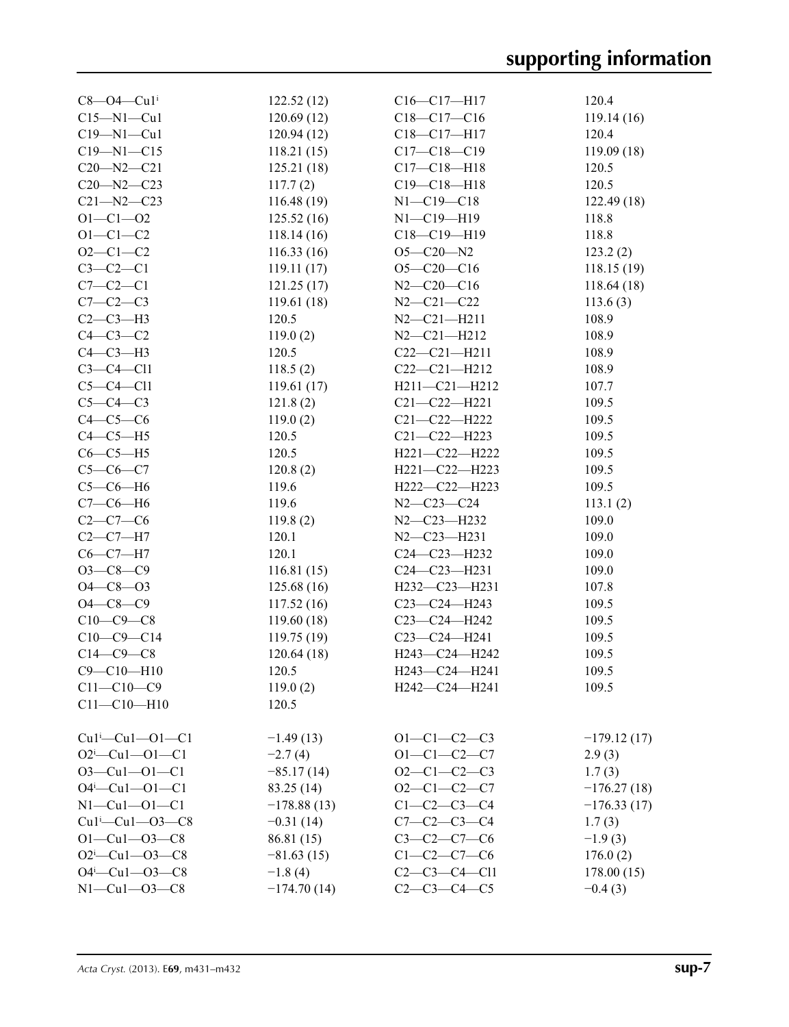| $C8 - O4 - Cu1$ <sup>i</sup>                   | 122.52(12)        | $C16-C17-H17$                        | 120.4         |
|------------------------------------------------|-------------------|--------------------------------------|---------------|
| $C15 - N1 - Cu1$                               | 120.69(12)        | $C18 - C17 - C16$                    | 119.14 (16)   |
| $C19 - N1 - Cu1$                               | 120.94(12)        | C18-C17-H17                          | 120.4         |
| $C19 - N1 - C15$                               | 118.21(15)        | $C17 - C18 - C19$                    | 119.09(18)    |
| $C20 - N2 - C21$                               | 125.21(18)        | $C17 - C18 - H18$                    | 120.5         |
| $C20 - N2 - C23$                               | 117.7(2)          | $C19 - C18 - H18$                    | 120.5         |
| $C21 - N2 - C23$                               | 116.48(19)        | $N1 - C19 - C18$                     | 122.49(18)    |
| $O1 - C1 - O2$                                 | 125.52(16)        | $N1 - C19 - H19$                     | 118.8         |
| $O1 - C1 - C2$                                 | 118.14(16)        | $C18 - C19 - H19$                    | 118.8         |
| $O2 - C1 - C2$                                 | 116.33(16)        | $O5 - C20 - N2$                      | 123.2(2)      |
| $C3-C2-C1$                                     | 119.11(17)        | $O5 - C20 - C16$                     | 118.15(19)    |
| $C7-C2-C1$                                     | 121.25(17)        | $N2 - C20 - C16$                     | 118.64(18)    |
| $C7-C2-C3$                                     | 119.61(18)        | $N2 - C21 - C22$                     | 113.6(3)      |
| $C2-C3-H3$                                     | 120.5             | $N2 - C21 - H211$                    | 108.9         |
| $C4-C3-C2$                                     | 119.0(2)          | $N2 - C21 - H212$                    | 108.9         |
| $C4-C3-H3$                                     | 120.5             | $C22-C21-H211$                       | 108.9         |
| $C3-C4-C11$                                    | 118.5(2)          | $C22-C21-H212$                       | 108.9         |
| $C5-C4-C11$                                    | 119.61(17)        | $H211 - C21 - H212$                  | 107.7         |
| $C5-C4-C3$                                     | 121.8(2)          | $C21 - C22 - H221$                   | 109.5         |
| $C4-C5-C6$                                     | 119.0(2)          | $C21 - C22 - H222$                   | 109.5         |
| $C4-C5-H5$                                     | 120.5             | $C21 - C22 - H223$                   | 109.5         |
| $C6-C5-H5$                                     | 120.5             | $H221 - C22 - H222$                  | 109.5         |
| $C5-C6-C7$                                     | 120.8(2)          | H221-C22-H223                        | 109.5         |
| $C5-C6-H6$                                     | 119.6             | H222-C22-H223                        | 109.5         |
| $C7-C6-H6$                                     | 119.6             | $N2 - C23 - C24$                     | 113.1(2)      |
| $C2-C7-C6$                                     | 119.8(2)          | N2-C23-H232                          | 109.0         |
| $C2-C7-H7$                                     | 120.1             | $N2 - C23 - H231$                    | 109.0         |
| $C6-C7-H7$                                     | 120.1             | $C24 - C23 - H232$                   | 109.0         |
| $O3-C8-C9$                                     | 116.81(15)        | $C24 - C23 - H231$                   | 109.0         |
| $O4 - C8 - O3$                                 | 125.68(16)        | H232-C23-H231                        | 107.8         |
| $O4 - C8 - C9$                                 | 117.52 (16)       | $C23-C24-H243$                       | 109.5         |
| $C10-C9-C8$                                    | 119.60(18)        | C23-C24-H242                         | 109.5         |
| $C10-C9-C14$                                   | 119.75(19)        | C23-C24-H241                         | 109.5         |
| $C14-C9-C8$                                    | 120.64(18)        | H243-C24-H242                        | 109.5         |
| $C9 - C10 - H10$                               | 120.5             | H243-C24-H241                        | 109.5         |
| $C11 - C10 - C9$                               |                   | H242-C24-H241                        |               |
| $C11 - C10 - H10$                              | 119.0(2)<br>120.5 |                                      | 109.5         |
|                                                |                   |                                      |               |
| $Cu1^i$ — $Cu1$ — $O1$ — $Cl$                  | $-1.49(13)$       | $O1 - C1 - C2 - C3$                  | $-179.12(17)$ |
| $O2^i$ -Cu1- $O1$ -C1                          | $-2.7(4)$         | $O1 - C1 - C2 - C7$                  | 2.9(3)        |
| $O3 - Cu1 - O1 - C1$                           | $-85.17(14)$      | $O2 - C1 - C2 - C3$                  | 1.7(3)        |
| $O4^i$ -Cu1- $O1$ -C1                          | 83.25 (14)        | $O2-C1-C2-C7$                        |               |
|                                                |                   |                                      | $-176.27(18)$ |
| $N1 - Cu1 - O1 - C1$<br>$Cu1^{i}$ -Cu1--O3--C8 | $-178.88(13)$     | $C1-C2-C3-C4$<br>$C7 - C2 - C3 - C4$ | $-176.33(17)$ |
|                                                | $-0.31(14)$       |                                      | 1.7(3)        |
| $O1 - Cu1 - O3 - C8$                           | 86.81 (15)        | $C3-C2-C7-C6$                        | $-1.9(3)$     |
| $O2^i$ -Cu1- $O3$ -C8                          | $-81.63(15)$      | $C1 - C2 - C7 - C6$                  | 176.0(2)      |
| $O4^i$ -Cu1- $O3$ -C8                          | $-1.8(4)$         | $C2-C3-C4-C11$                       | 178.00(15)    |
| $N1 - Cu1 - 03 - C8$                           | $-174.70(14)$     | $C2 - C3 - C4 - C5$                  | $-0.4(3)$     |